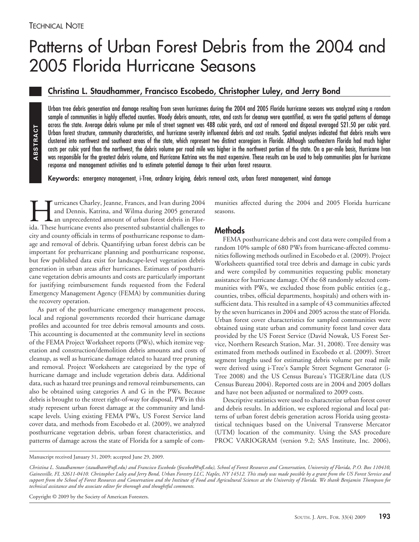ABSTRACT **ABSTRACT**

# Patterns of Urban Forest Debris from the 2004 and 2005 Florida Hurricane Seasons

## **Christina L. Staudhammer, Francisco Escobedo, Christopher Luley, and Jerry Bond**

Urban tree debris generation and damage resulting from seven hurricanes during the 2004 and 2005 Florida hurricane seasons was analyzed using a random sample of communities in highly affected counties. Woody debris amounts, rates, and costs for cleanup were quantified, as were the spatial patterns of damage across the state. Average debris volume per mile of street segment was 488 cubic yards, and cost of removal and disposal averaged \$21.50 per cubic yard. Urban forest structure, community characteristics, and hurricane severity influenced debris and cost results. Spatial analyses indicated that debris results were clustered into northwest and southeast areas of the state, which represent two distinct ecoregions in Florida. Although southeastern Florida had much higher costs per cubic yard than the northwest, the debris volume per road mile was higher in the northwest portion of the state. On a per-mile basis, Hurricane Ivan was responsible for the greatest debris volume, and Hurricane Katrina was the most expensive. These results can be used to help communities plan for hurricane response and management activities and to estimate potential damage to their urban forest resource.

**Keywords:** emergency management, i-Tree, ordinary kriging, debris removal costs, urban forest management, wind damage

IM urricanes Charley, Jeanne, Frances, and Ivan during 2004<br>and Dennis, Katrina, and Wilma during 2005 generated<br>an unprecedented amount of urban forest debris in Flor-<br>ida. These hurricane events also presented substantia and Dennis, Katrina, and Wilma during 2005 generated an unprecedented amount of urban forest debris in Florida. These hurricane events also presented substantial challenges to city and county officials in terms of posthurricane response to damage and removal of debris. Quantifying urban forest debris can be important for prehurricane planning and posthurricane response, but few published data exist for landscape-level vegetation debris generation in urban areas after hurricanes. Estimates of posthurricane vegetation debris amounts and costs are particularly important for justifying reimbursement funds requested from the Federal Emergency Management Agency (FEMA) by communities during the recovery operation.

As part of the posthurricane emergency management process, local and regional governments recorded their hurricane damage profiles and accounted for tree debris removal amounts and costs. This accounting is documented at the community level in sections of the FEMA Project Worksheet reports (PWs), which itemize vegetation and construction/demolition debris amounts and costs of cleanup, as well as hurricane damage related to hazard tree pruning and removal. Project Worksheets are categorized by the type of hurricane damage and include vegetation debris data. Additional data, such as hazard tree prunings and removal reimbursements, can also be obtained using categories A and G in the PWs. Because debris is brought to the street right-of-way for disposal, PWs in this study represent urban forest damage at the community and landscape levels. Using existing FEMA PWs, US Forest Service land cover data, and methods from Escobedo et al. (2009), we analyzed posthurricane vegetation debris, urban forest characteristics, and patterns of damage across the state of Florida for a sample of communities affected during the 2004 and 2005 Florida hurricane seasons.

## **Methods**

FEMA posthurricane debris and cost data were compiled from a random 10% sample of 680 PWs from hurricane-affected communities following methods outlined in Escobedo et al. (2009). Project Worksheets quantified total tree debris and damage in cubic yards and were compiled by communities requesting public monetary assistance for hurricane damage. Of the 68 randomly selected communities with PWs, we excluded those from public entities (e.g., counties, tribes, official departments, hospitals) and others with insufficient data. This resulted in a sample of 43 communities affected by the seven hurricanes in 2004 and 2005 across the state of Florida. Urban forest cover characteristics for sampled communities were obtained using state urban and community forest land cover data provided by the US Forest Service (David Nowak, US Forest Service, Northern Research Station, Mar. 31, 2008). Tree density was estimated from methods outlined in Escobedo et al. (2009). Street segment lengths used for estimating debris volume per road mile were derived using i-Tree's Sample Street Segment Generator (i-Tree 2008) and the US Census Bureau's TIGER/Line data (US Census Bureau 2004). Reported costs are in 2004 and 2005 dollars and have not been adjusted or normalized to 2009 costs.

Descriptive statistics were used to characterize urban forest cover and debris results. In addition, we explored regional and local patterns of urban forest debris generation across Florida using geostatistical techniques based on the Universal Transverse Mercator (UTM) location of the community. Using the SAS procedure PROC VARIOGRAM (version 9.2; SAS Institute, Inc. 2006),

Manuscript received January 31, 2009; accepted June 29, 2009.

Copyright © 2009 by the Society of American Foresters.

*Christina L. Staudhammer (staudham@ufl.edu) and Francisco Escobedo (fescobed@ufl.edu), School of Forest Resources and Conservation, University of Florida, P.O. Box 110410, Gainesville, FL 32611-0410. Christopher Luley and Jerry Bond, Urban Forestry LLC, Naples, NY 14512. This study was made possible by a grant from the US Forest Service and support from the School of Forest Resources and Conservation and the Institute of Food and Agricultural Sciences at the University of Florida. We thank Benjamin Thompson for technical assistance and the associate editor for thorough and thoughtful comments.*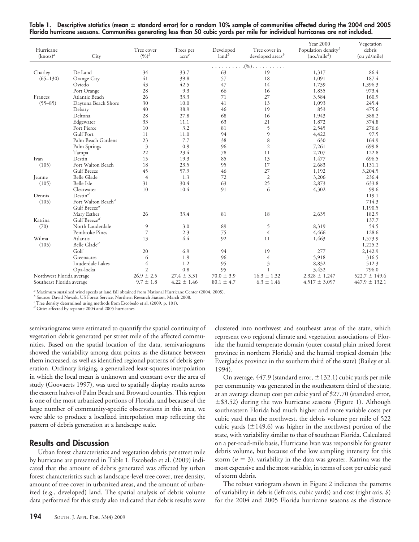| Table 1. Descriptive statistics (mean $\pm$ standard error) for a random 10% sample of communities affected during the 2004 and 2005 |  |  |  |  |
|--------------------------------------------------------------------------------------------------------------------------------------|--|--|--|--|
| Florida hurricane seasons. Communities generating less than 50 cubic yards per mile for individual hurricanes are not included.      |  |  |  |  |

| Hurricane<br>$(knots)^a$  | City                           | Tree cover<br>$(9/6)^b$ | Trees per<br>$\mathrm{accre}^c$ | Developed<br>$land^b$ | Tree cover in<br>developed areas <sup>b</sup> | <b>Year 2000</b><br>Population density <sup>b</sup><br>$(no./mile^2)$ | Vegetation<br>debris<br>(cu yd/mile) |
|---------------------------|--------------------------------|-------------------------|---------------------------------|-----------------------|-----------------------------------------------|-----------------------------------------------------------------------|--------------------------------------|
|                           |                                | $(96)$ .                |                                 |                       |                                               |                                                                       |                                      |
| De Land<br>Charley        |                                | 34                      | 33.7                            | 63                    | 19                                            | 1,317                                                                 | 86.4                                 |
| $(65 - 130)$              | Orange City                    | 41                      | 39.8                            | 57                    | 18                                            | 1,091                                                                 | 187.4                                |
|                           | Oviedo                         | 43                      | 42.5                            | 47                    | 14                                            | 1,739                                                                 | 1,396.3                              |
|                           | Port Orange                    | 28                      | 9.3                             | 66                    | 16                                            | 1,855                                                                 | 973.4                                |
| Frances                   | Atlantic Beach                 | 26                      | 33.3                            | 71                    | 27                                            | 3,584                                                                 | 160.9                                |
| $(55 - 85)$               | Daytona Beach Shore            | 30                      | 10.0                            | 41                    | 13                                            | 1,093                                                                 | 245.4                                |
|                           | Debary                         | 40                      | 38.9                            | 46                    | 19                                            | 853                                                                   | 475.6                                |
|                           | Deltona                        | 28                      | 27.8                            | 68                    | 16                                            | 1,943                                                                 | 388.2                                |
|                           | Edgewater                      | 33                      | 11.1                            | 63                    | 21                                            | 1,872                                                                 | 374.8                                |
|                           | Fort Pierce                    | 10                      | 3.2                             | 81                    | 5                                             | 2,545                                                                 | 276.6                                |
|                           | <b>Gulf Port</b>               | 11                      | 11.0                            | 94                    | 9                                             | 4,422                                                                 | 97.5                                 |
|                           | Palm Beach Gardens             | 23                      | 7.7                             | 38                    | 8                                             | 630                                                                   | 164.9                                |
|                           | Palm Springs                   | $\overline{3}$          | 0.9                             | 96                    | $\mathfrak{2}$                                | 7,261                                                                 | 699.8                                |
|                           | Tampa                          | 22                      | 23.4                            | 78                    | 11                                            | 2,707                                                                 | 122.8                                |
| Ivan                      | Destin                         | 15                      | 19.3                            | 85                    | 13                                            | 1,477                                                                 | 696.5                                |
| (105)                     | Fort Walton Beach              | 18                      | 23.5                            | 95                    | 17                                            | 2,683                                                                 | 1,131.1                              |
|                           | Gulf Breeze                    | 45                      | 57.9                            | 46                    | 27                                            | 1,192                                                                 | 3,204.5                              |
| Jeanne                    | <b>Belle Glade</b>             | $\overline{4}$          | 1.3                             | 72                    | $\mathfrak{2}$                                | 3,206                                                                 | 236.4                                |
| (105)                     | Belle Isle                     | 31                      | 30.4                            | 63                    | 25                                            | 2,873                                                                 | 633.8                                |
|                           | Clearwater                     | 10                      | 10.4                            | 91                    | 6                                             | 4,302                                                                 | 99.6                                 |
| Dennis                    | $Destin^d$                     |                         |                                 |                       |                                               |                                                                       | 119.1                                |
| (105)                     | Fort Walton Beach <sup>d</sup> |                         |                                 |                       |                                               |                                                                       | 714.3                                |
|                           | Gulf Breeze <sup>d</sup>       |                         |                                 |                       |                                               |                                                                       | 1,190.5                              |
|                           | Mary Esther                    | 26                      | 33.4                            | 81                    | 18                                            | 2,635                                                                 | 182.9                                |
| Katrina                   | Gulf Breeze <sup>d</sup>       |                         |                                 |                       |                                               |                                                                       | 137.7                                |
| (70)                      | North Lauderdale               | 9                       | 3.0                             | 89                    | 5                                             | 8,319                                                                 | 54.5                                 |
|                           | Pembroke Pines                 | $\overline{7}$          | 2.3                             | 75                    | $\overline{4}$                                | 4,466                                                                 | 128.6                                |
| Wilma                     | Atlantis                       | 13                      | 4.4                             | 92                    | 11                                            | 1,463                                                                 | 1,573.9                              |
| (105)                     | Belle Glade <sup>d</sup>       |                         |                                 |                       |                                               |                                                                       | 1,225.2                              |
|                           | Golf                           | 20                      | 6.9                             | 94                    | 19                                            | 277                                                                   | 2,142.9                              |
|                           | Greenacres                     | 6                       | 1.9                             | 96                    | $\overline{4}$                                | 5,918                                                                 | 316.5                                |
|                           | Lauderdale Lakes               | $\overline{4}$          | 1.2                             | 95                    | $\ensuremath{\mathfrak{Z}}$                   | 8,832                                                                 | 512.3                                |
|                           | Opa-locka                      | $\mathfrak{2}$          | 0.8                             | 95                    |                                               | 3,452                                                                 | 796.0                                |
| Northwest Florida average |                                | $26.9 \pm 2.5$          | $27.4 \pm 3.31$                 | $70.0 \pm 3.9$        | $16.3 \pm 1.32$                               | $2,328 \pm 1,247$                                                     | $522.7 \pm 149.6$                    |
| Southeast Florida average |                                | $9.7 \pm 1.8$           | $4.22 \pm 1.46$                 | $80.1 \pm 4.7$        | $6.3 \pm 1.46$                                | $4,517 \pm 3,097$                                                     | $447.9 \pm 132.1$                    |

*<sup>a</sup>* Maximum sustained wind speeds at land fall obtained from National Hurricane Center (2004, 2005).

*<sup>b</sup>* Source: David Nowak, US Forest Service, Northern Research Station, March 2008.

*<sup>c</sup>* Tree density determined using methods from Escobedo et al. (2009, p. 101).

*<sup>d</sup>* Cities affected by separate 2004 and 2005 hurricanes.

semivariograms were estimated to quantify the spatial continuity of vegetation debris generated per street mile of the affected communities. Based on the spatial location of the data, semivariograms showed the variability among data points as the distance between them increased, as well as identified regional patterns of debris generation. Ordinary kriging, a generalized least-squares interpolation in which the local mean is unknown and constant over the area of study (Goovaerts 1997), was used to spatially display results across the eastern halves of Palm Beach and Broward counties. This region is one of the most urbanized portions of Florida, and because of the large number of community-specific observations in this area, we were able to produce a localized interpolation map reflecting the pattern of debris generation at a landscape scale.

#### **Results and Discussion**

Urban forest characteristics and vegetation debris per street mile by hurricane are presented in Table 1. Escobedo et al. (2009) indicated that the amount of debris generated was affected by urban forest characteristics such as landscape-level tree cover, tree density, amount of tree cover in urbanized areas, and the amount of urbanized (e.g., developed) land. The spatial analysis of debris volume data performed for this study also indicated that debris results were

clustered into northwest and southeast areas of the state, which represent two regional climate and vegetation associations of Florida: the humid temperate domain (outer coastal plain mixed forest province in northern Florida) and the humid tropical domain (the Everglades province in the southern third of the state) (Bailey et al. 1994).

On average,  $447.9$  (standard error,  $\pm 132.1$ ) cubic yards per mile per community was generated in the southeastern third of the state, at an average cleanup cost per cubic yard of \$27.70 (standard error,  $\pm$ \$3.52) during the two hurricane seasons (Figure 1). Although southeastern Florida had much higher and more variable costs per cubic yard than the northwest, the debris volume per mile of 522 cubic yards  $(\pm 149.6)$  was higher in the northwest portion of the state, with variability similar to that of southeast Florida. Calculated on a per-road-mile basis, Hurricane Ivan was responsible for greater debris volume, but because of the low sampling intensity for this storm  $(n = 3)$ , variability in the data was greater. Katrina was the most expensive and the most variable, in terms of cost per cubic yard of storm debris.

The robust variogram shown in Figure 2 indicates the patterns of variability in debris (left axis, cubic yards) and cost (right axis, \$) for the 2004 and 2005 Florida hurricane seasons as the distance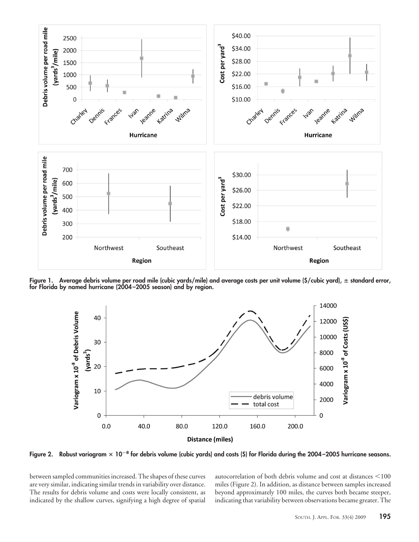

**Figure 1. Average debris volume per road mile (cubic yards/mile) and average costs per unit volume (\$/cubic yard), standard error, for Florida by named hurricane (2004 –2005 season) and by region.**



Figure 2. Robust variogram  $\times$  10<sup>–8</sup> for debris volume (cubic yards) and costs (\$) for Florida during the 2004–2005 hurricane seasons.

between sampled communities increased. The shapes of these curves are very similar, indicating similar trends in variability over distance. The results for debris volume and costs were locally consistent, as indicated by the shallow curves, signifying a high degree of spatial autocorrelation of both debris volume and cost at distances  $\leq 100$ miles (Figure 2). In addition, as distance between samples increased beyond approximately 100 miles, the curves both became steeper, indicating that variability between observations became greater. The